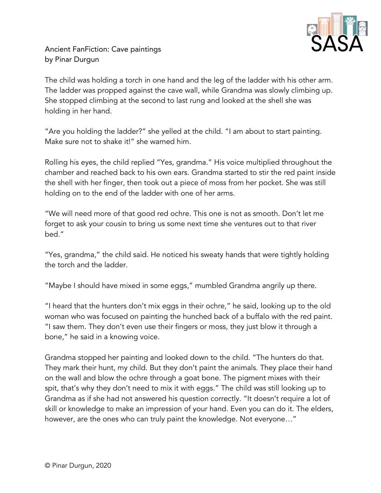

Ancient FanFiction: Cave paintings by Pinar Durgun

The child was holding a torch in one hand and the leg of the ladder with his other arm. The ladder was propped against the cave wall, while Grandma was slowly climbing up. She stopped climbing at the second to last rung and looked at the shell she was holding in her hand.

"Are you holding the ladder?" she yelled at the child. "I am about to start painting. Make sure not to shake it!" she warned him.

Rolling his eyes, the child replied "Yes, grandma." His voice multiplied throughout the chamber and reached back to his own ears. Grandma started to stir the red paint inside the shell with her finger, then took out a piece of moss from her pocket. She was still holding on to the end of the ladder with one of her arms.

"We will need more of that good red ochre. This one is not as smooth. Don't let me forget to ask your cousin to bring us some next time she ventures out to that river bed."

"Yes, grandma," the child said. He noticed his sweaty hands that were tightly holding the torch and the ladder.

"Maybe I should have mixed in some eggs," mumbled Grandma angrily up there.

"I heard that the hunters don't mix eggs in their ochre," he said, looking up to the old woman who was focused on painting the hunched back of a buffalo with the red paint. "I saw them. They don't even use their fingers or moss, they just blow it through a bone," he said in a knowing voice.

Grandma stopped her painting and looked down to the child. "The hunters do that. They mark their hunt, my child. But they don't paint the animals. They place their hand on the wall and blow the ochre through a goat bone. The pigment mixes with their spit, that's why they don't need to mix it with eggs." The child was still looking up to Grandma as if she had not answered his question correctly. "It doesn't require a lot of skill or knowledge to make an impression of your hand. Even you can do it. The elders, however, are the ones who can truly paint the knowledge. Not everyone…"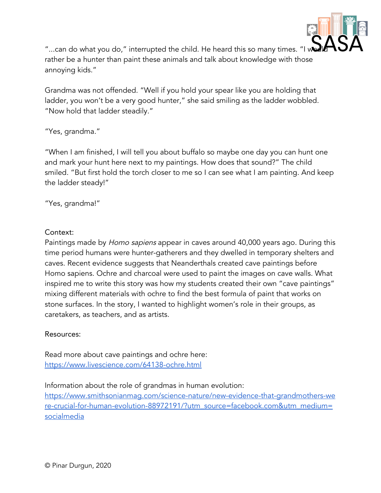

"...can do what you do," interrupted the child. He heard this so many times. "I rather be a hunter than paint these animals and talk about knowledge with those annoying kids."

Grandma was not offended. "Well if you hold your spear like you are holding that ladder, you won't be a very good hunter," she said smiling as the ladder wobbled. "Now hold that ladder steadily."

"Yes, grandma."

"When I am finished, I will tell you about buffalo so maybe one day you can hunt one and mark your hunt here next to my paintings. How does that sound?" The child smiled. "But first hold the torch closer to me so I can see what I am painting. And keep the ladder steady!"

"Yes, grandma!"

## Context:

Paintings made by Homo sapiens appear in caves around 40,000 years ago. During this time period humans were hunter-gatherers and they dwelled in temporary shelters and caves. Recent evidence suggests that Neanderthals created cave paintings before Homo sapiens. Ochre and charcoal were used to paint the images on cave walls. What inspired me to write this story was how my students created their own "cave paintings" mixing different materials with ochre to find the best formula of paint that works on stone surfaces. In the story, I wanted to highlight women's role in their groups, as caretakers, as teachers, and as artists.

## Resources:

Read more about cave paintings and ochre here: <https://www.livescience.com/64138-ochre.html>

Information about the role of grandmas in human evolution:

[https://www.smithsonianmag.com/science-nature/new-evidence-that-grandmothers-we](https://www.smithsonianmag.com/science-nature/new-evidence-that-grandmothers-were-crucial-for-human-evolution-88972191/?utm_source=facebook.com&utm_medium=socialmedia) [re-crucial-for-human-evolution-88972191/?utm\\_source=facebook.com&utm\\_medium=](https://www.smithsonianmag.com/science-nature/new-evidence-that-grandmothers-were-crucial-for-human-evolution-88972191/?utm_source=facebook.com&utm_medium=socialmedia) [socialmedia](https://www.smithsonianmag.com/science-nature/new-evidence-that-grandmothers-were-crucial-for-human-evolution-88972191/?utm_source=facebook.com&utm_medium=socialmedia)